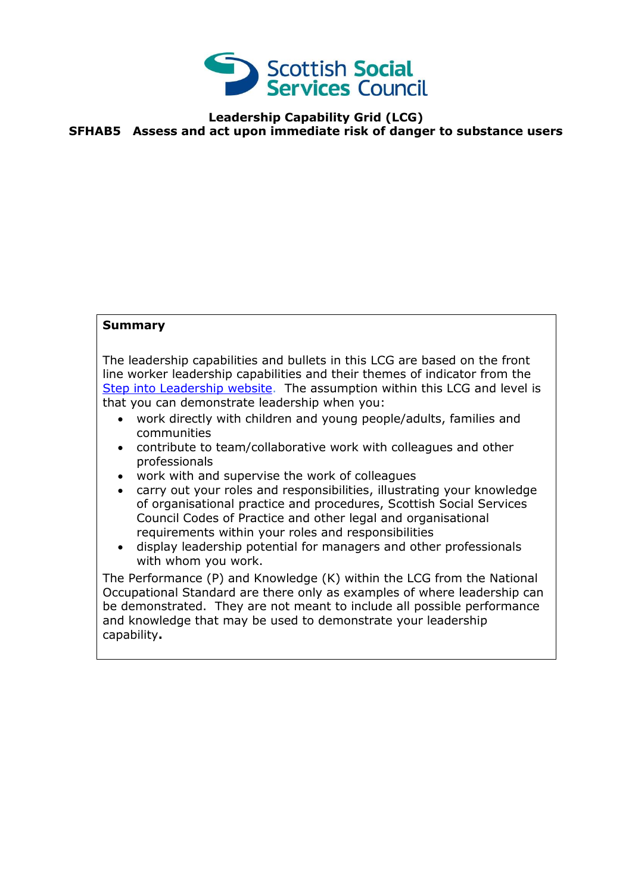

## **Leadership Capability Grid (LCG) SFHAB5 Assess and act upon immediate risk of danger to substance users**

## **Summary**

The leadership capabilities and bullets in this LCG are based on the front line worker leadership capabilities and their themes of indicator from the [Step into Leadership website.](http://www.stepintoleadership.info/) The assumption within this LCG and level is that you can demonstrate leadership when you:

- work directly with children and young people/adults, families and communities
- contribute to team/collaborative work with colleagues and other professionals
- work with and supervise the work of colleagues
- carry out your roles and responsibilities, illustrating your knowledge of organisational practice and procedures, Scottish Social Services Council Codes of Practice and other legal and organisational requirements within your roles and responsibilities
- display leadership potential for managers and other professionals with whom you work.

The Performance (P) and Knowledge (K) within the LCG from the National Occupational Standard are there only as examples of where leadership can be demonstrated. They are not meant to include all possible performance and knowledge that may be used to demonstrate your leadership capability**.**